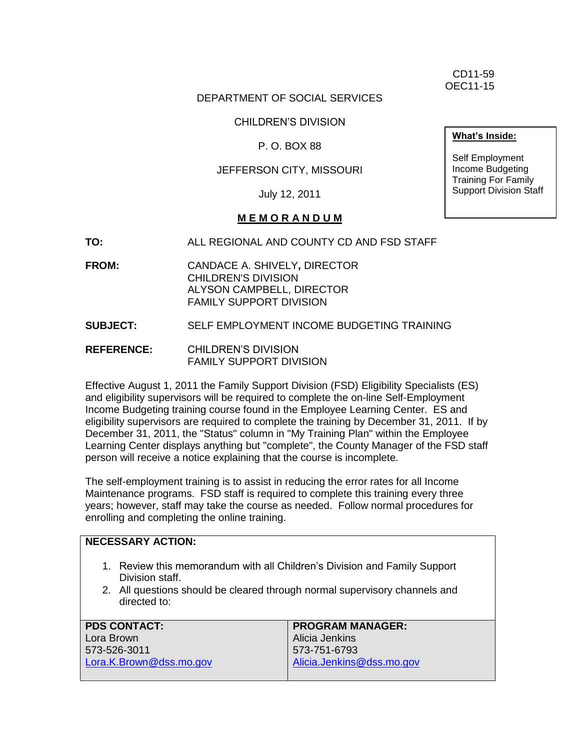CD11-59 OEC11-15

#### DEPARTMENT OF SOCIAL SERVICES

CHILDREN'S DIVISION

P. O. BOX 88

#### JEFFERSON CITY, MISSOURI

July 12, 2011

#### **M E M O R A N D U M**

**TO:** ALL REGIONAL AND COUNTY CD AND FSD STAFF

**FROM:** CANDACE A. SHIVELY**,** DIRECTOR CHILDREN'S DIVISION ALYSON CAMPBELL, DIRECTOR FAMILY SUPPORT DIVISION

**SUBJECT:** SELF EMPLOYMENT INCOME BUDGETING TRAINING

**REFERENCE:** CHILDREN'S DIVISION FAMILY SUPPORT DIVISION

Effective August 1, 2011 the Family Support Division (FSD) Eligibility Specialists (ES) and eligibility supervisors will be required to complete the on-line Self-Employment Income Budgeting training course found in the Employee Learning Center. ES and eligibility supervisors are required to complete the training by December 31, 2011. If by December 31, 2011, the "Status" column in "My Training Plan" within the Employee Learning Center displays anything but "complete", the County Manager of the FSD staff person will receive a notice explaining that the course is incomplete.

The self-employment training is to assist in reducing the error rates for all Income Maintenance programs. FSD staff is required to complete this training every three years; however, staff may take the course as needed. Follow normal procedures for enrolling and completing the online training.

#### **NECESSARY ACTION:** 1. Review this memorandum with all Children's Division and Family Support Division staff. 2. All questions should be cleared through normal supervisory channels and directed to: **PDS CONTACT:** Lora Brown 573-526-3011 [Lora.K.Brown@dss.mo.gov](mailto:Lora.K.Brown@dss.mo.gov) **PROGRAM MANAGER:** Alicia Jenkins 573-751-6793 [Alicia.Jenkins@dss.mo.gov](mailto:Alicia.Jenkins@dss.mo.gov)

**What's Inside:**

Self Employment Income Budgeting Training For Family Support Division Staff